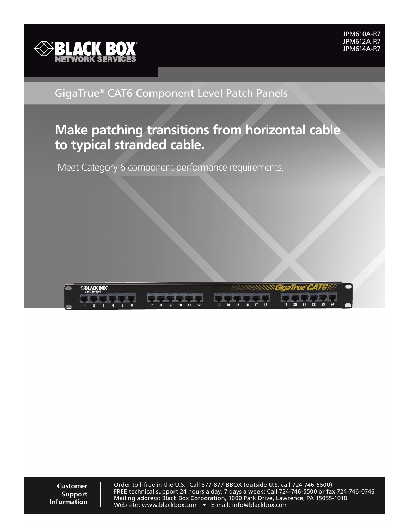

## GigaTrue® CAT6 Component Level Patch Panels

# **Make patching transitions from horizontal cable to typical stranded cable.**

Meet Category 6 component performance requirements.

| <b><i><b>EXPELACK BOX</b></i></b><br>724-746-5500 |                                                                                                                                                                                                                                      | <b>WIIII GigaTrue CAT6//////</b>      |  |
|---------------------------------------------------|--------------------------------------------------------------------------------------------------------------------------------------------------------------------------------------------------------------------------------------|---------------------------------------|--|
| <b>STATISTICS</b>                                 | <u>the second in the second second and second in the second second in the second in the second in the second in the second in the second in the second in the second in the second in the second in the second in the second in </u> |                                       |  |
|                                                   | 15<br>13.<br>14.                                                                                                                                                                                                                     | 23<br>24<br>22<br>20<br>$19-19$<br>21 |  |

**Customer Support Information**

Order toll-free in the U.S.: Call 877-877-BBOX (outside U.S. call 724-746-5500) FREE technical support 24 hours a day, 7 days a week: Call 724-746-5500 or fax 724-746-0746 Mailing address: Black Box Corporation, 1000 Park Drive, Lawrence, PA 15055-1018 Web site: www.blackbox.com • E-mail: info@blackbox.com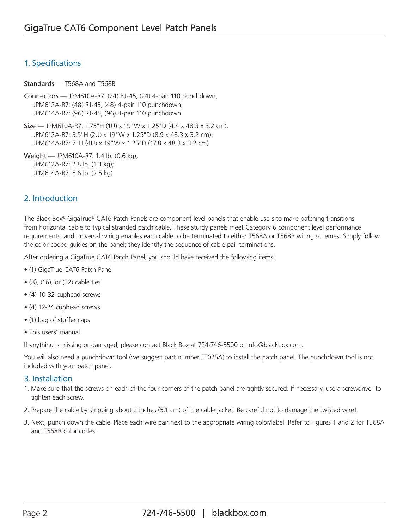### 1. Specifications

Standards — T568A and T568B

Connectors — JPM610A-R7: (24) RJ-45, (24) 4-pair 110 punchdown; JPM612A-R7: (48) RJ-45, (48) 4-pair 110 punchdown; JPM614A-R7: (96) RJ-45, (96) 4-pair 110 punchdown

Size — JPM610A-R7: 1.75"H (1U) x 19"W x 1.25"D (4.4 x 48.3 x 3.2 cm); JPM612A-R7: 3.5"H (2U) x 19"W x 1.25"D (8.9 x 48.3 x 3.2 cm); JPM614A-R7: 7"H (4U) x 19"W x 1.25"D (17.8 x 48.3 x 3.2 cm)

Weight — JPM610A-R7: 1.4 lb. (0.6 kg); JPM612A-R7: 2.8 lb. (1.3 kg); JPM614A-R7: 5.6 lb. (2.5 kg)

## 2. Introduction

The Black Box® GigaTrue® CAT6 Patch Panels are component-level panels that enable users to make patching transitions from horizontal cable to typical stranded patch cable. These sturdy panels meet Category 6 component level performance requirements, and universal wiring enables each cable to be terminated to either T568A or T568B wiring schemes. Simply follow the color-coded guides on the panel; they identify the sequence of cable pair terminations.

After ordering a GigaTrue CAT6 Patch Panel, you should have received the following items:

- (1) GigaTrue CAT6 Patch Panel
- (8), (16), or (32) cable ties
- (4) 10-32 cuphead screws
- (4) 12-24 cuphead screws
- (1) bag of stuffer caps
- This users' manual

If anything is missing or damaged, please contact Black Box at 724-746-5500 or info@blackbox.com.

You will also need a punchdown tool (we suggest part number FT025A) to install the patch panel. The punchdown tool is not included with your patch panel.

#### 3. Installation

- 1. Make sure that the screws on each of the four corners of the patch panel are tightly secured. If necessary, use a screwdriver to tighten each screw.
- 2. Prepare the cable by stripping about 2 inches (5.1 cm) of the cable jacket. Be careful not to damage the twisted wire!
- 3. Next, punch down the cable. Place each wire pair next to the appropriate wiring color/label. Refer to Figures 1 and 2 for T568A and T568B color codes.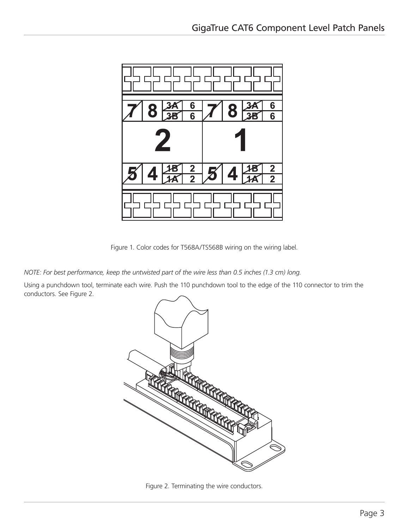

Figure 1. Color codes for T568A/TS568B wiring on the wiring label.

*NOTE: For best performance, keep the untwisted part of the wire less than 0.5 inches (1.3 cm) long.*

Using a punchdown tool, terminate each wire. Push the 110 punchdown tool to the edge of the 110 connector to trim the conductors. See Figure 2.



Figure 2. Terminating the wire conductors.